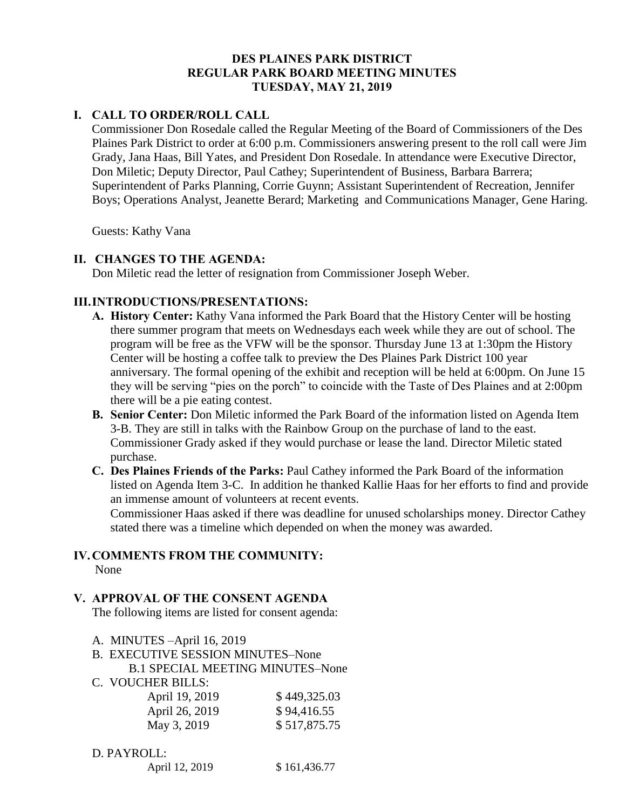# **DES PLAINES PARK DISTRICT REGULAR PARK BOARD MEETING MINUTES TUESDAY, MAY 21, 2019**

# **I. CALL TO ORDER/ROLL CALL**

Commissioner Don Rosedale called the Regular Meeting of the Board of Commissioners of the Des Plaines Park District to order at 6:00 p.m. Commissioners answering present to the roll call were Jim Grady, Jana Haas, Bill Yates, and President Don Rosedale. In attendance were Executive Director, Don Miletic; Deputy Director, Paul Cathey; Superintendent of Business, Barbara Barrera; Superintendent of Parks Planning, Corrie Guynn; Assistant Superintendent of Recreation, Jennifer Boys; Operations Analyst, Jeanette Berard; Marketing and Communications Manager, Gene Haring.

Guests: Kathy Vana

# **II. CHANGES TO THE AGENDA:**

Don Miletic read the letter of resignation from Commissioner Joseph Weber.

# **III.INTRODUCTIONS/PRESENTATIONS:**

- **A. History Center:** Kathy Vana informed the Park Board that the History Center will be hosting there summer program that meets on Wednesdays each week while they are out of school. The program will be free as the VFW will be the sponsor. Thursday June 13 at 1:30pm the History Center will be hosting a coffee talk to preview the Des Plaines Park District 100 year anniversary. The formal opening of the exhibit and reception will be held at 6:00pm. On June 15 they will be serving "pies on the porch" to coincide with the Taste of Des Plaines and at 2:00pm there will be a pie eating contest.
- **B. Senior Center:** Don Miletic informed the Park Board of the information listed on Agenda Item 3-B. They are still in talks with the Rainbow Group on the purchase of land to the east. Commissioner Grady asked if they would purchase or lease the land. Director Miletic stated purchase.
- **C. Des Plaines Friends of the Parks:** Paul Cathey informed the Park Board of the information listed on Agenda Item 3-C. In addition he thanked Kallie Haas for her efforts to find and provide an immense amount of volunteers at recent events.

Commissioner Haas asked if there was deadline for unused scholarships money. Director Cathey stated there was a timeline which depended on when the money was awarded.

# **IV.COMMENTS FROM THE COMMUNITY:**

None

# **V. APPROVAL OF THE CONSENT AGENDA**

The following items are listed for consent agenda:

- A. MINUTES –April 16, 2019
- B. EXECUTIVE SESSION MINUTES–None

B.1 SPECIAL MEETING MINUTES–None

C. VOUCHER BILLS:

| \$449,325.03 |
|--------------|
| \$94,416.55  |
| \$517,875.75 |
|              |

# D. PAYROLL:

|  |  | April 12, 2019 | \$161,436.77 |
|--|--|----------------|--------------|
|--|--|----------------|--------------|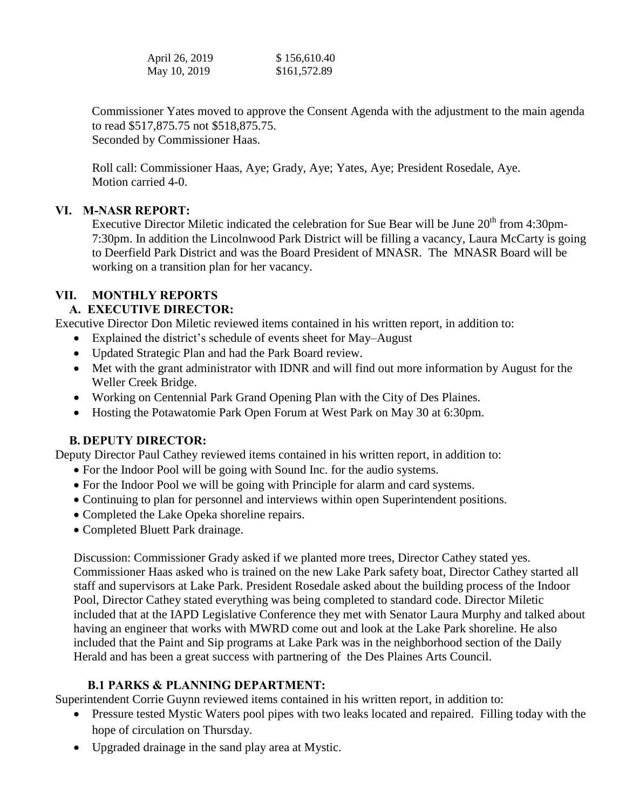| April 26, 2019 | \$156,610.40 |
|----------------|--------------|
| May 10, 2019   | \$161,572.89 |

Commissioner Yates moved to approve the Consent Agenda with the adjustment to the main agenda to read \$517,875.75 not \$518,875.75. Seconded by Commissioner Haas.

 Roll call: Commissioner Haas, Aye; Grady, Aye; Yates, Aye; President Rosedale, Aye. Motion carried 4-0.

# **VI. M-NASR REPORT:**

Executive Director Miletic indicated the celebration for Sue Bear will be June 20<sup>th</sup> from 4:30pm-7:30pm. In addition the Lincolnwood Park District will be filling a vacancy, Laura McCarty is going to Deerfield Park District and was the Board President of MNASR. The MNASR Board will be working on a transition plan for her vacancy.

# **VII. MONTHLY REPORTS**

# **A. EXECUTIVE DIRECTOR:**

Executive Director Don Miletic reviewed items contained in his written report, in addition to:

- Explained the district's schedule of events sheet for May–August
- Updated Strategic Plan and had the Park Board review.
- Met with the grant administrator with IDNR and will find out more information by August for the Weller Creek Bridge.
- Working on Centennial Park Grand Opening Plan with the City of Des Plaines.
- Hosting the Potawatomie Park Open Forum at West Park on May 30 at 6:30pm.

# **B. DEPUTY DIRECTOR:**

Deputy Director Paul Cathey reviewed items contained in his written report, in addition to:

- For the Indoor Pool will be going with Sound Inc. for the audio systems.
- For the Indoor Pool we will be going with Principle for alarm and card systems.
- Continuing to plan for personnel and interviews within open Superintendent positions.
- Completed the Lake Opeka shoreline repairs.
- Completed Bluett Park drainage.

Discussion: Commissioner Grady asked if we planted more trees, Director Cathey stated yes. Commissioner Haas asked who is trained on the new Lake Park safety boat, Director Cathey started all staff and supervisors at Lake Park. President Rosedale asked about the building process of the Indoor Pool, Director Cathey stated everything was being completed to standard code. Director Miletic included that at the IAPD Legislative Conference they met with Senator Laura Murphy and talked about having an engineer that works with MWRD come out and look at the Lake Park shoreline. He also included that the Paint and Sip programs at Lake Park was in the neighborhood section of the Daily Herald and has been a great success with partnering of the Des Plaines Arts Council.

# **B.1 PARKS & PLANNING DEPARTMENT:**

Superintendent Corrie Guynn reviewed items contained in his written report, in addition to:

- Pressure tested Mystic Waters pool pipes with two leaks located and repaired. Filling today with the hope of circulation on Thursday.
- Upgraded drainage in the sand play area at Mystic.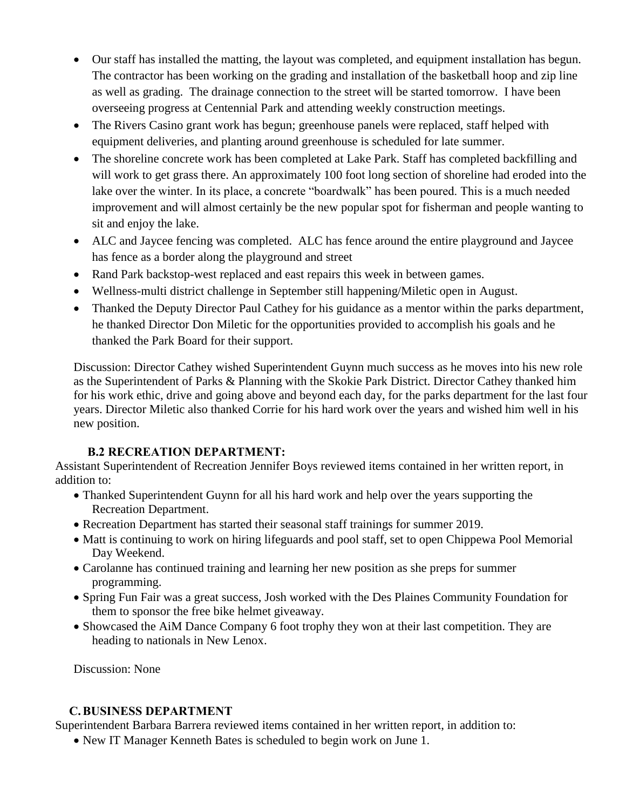- Our staff has installed the matting, the layout was completed, and equipment installation has begun. The contractor has been working on the grading and installation of the basketball hoop and zip line as well as grading. The drainage connection to the street will be started tomorrow. I have been overseeing progress at Centennial Park and attending weekly construction meetings.
- The Rivers Casino grant work has begun; greenhouse panels were replaced, staff helped with equipment deliveries, and planting around greenhouse is scheduled for late summer.
- The shoreline concrete work has been completed at Lake Park. Staff has completed backfilling and will work to get grass there. An approximately 100 foot long section of shoreline had eroded into the lake over the winter. In its place, a concrete "boardwalk" has been poured. This is a much needed improvement and will almost certainly be the new popular spot for fisherman and people wanting to sit and enjoy the lake.
- ALC and Jaycee fencing was completed. ALC has fence around the entire playground and Jaycee has fence as a border along the playground and street
- Rand Park backstop-west replaced and east repairs this week in between games.
- Wellness-multi district challenge in September still happening/Miletic open in August.
- Thanked the Deputy Director Paul Cathey for his guidance as a mentor within the parks department, he thanked Director Don Miletic for the opportunities provided to accomplish his goals and he thanked the Park Board for their support.

Discussion: Director Cathey wished Superintendent Guynn much success as he moves into his new role as the Superintendent of Parks & Planning with the Skokie Park District. Director Cathey thanked him for his work ethic, drive and going above and beyond each day, for the parks department for the last four years. Director Miletic also thanked Corrie for his hard work over the years and wished him well in his new position.

# **B.2 RECREATION DEPARTMENT:**

Assistant Superintendent of Recreation Jennifer Boys reviewed items contained in her written report, in addition to:

- Thanked Superintendent Guynn for all his hard work and help over the years supporting the Recreation Department.
- Recreation Department has started their seasonal staff trainings for summer 2019.
- Matt is continuing to work on hiring lifeguards and pool staff, set to open Chippewa Pool Memorial Day Weekend.
- Carolanne has continued training and learning her new position as she preps for summer programming.
- Spring Fun Fair was a great success, Josh worked with the Des Plaines Community Foundation for them to sponsor the free bike helmet giveaway.
- Showcased the AiM Dance Company 6 foot trophy they won at their last competition. They are heading to nationals in New Lenox.

Discussion: None

# **C.BUSINESS DEPARTMENT**

Superintendent Barbara Barrera reviewed items contained in her written report, in addition to:

• New IT Manager Kenneth Bates is scheduled to begin work on June 1.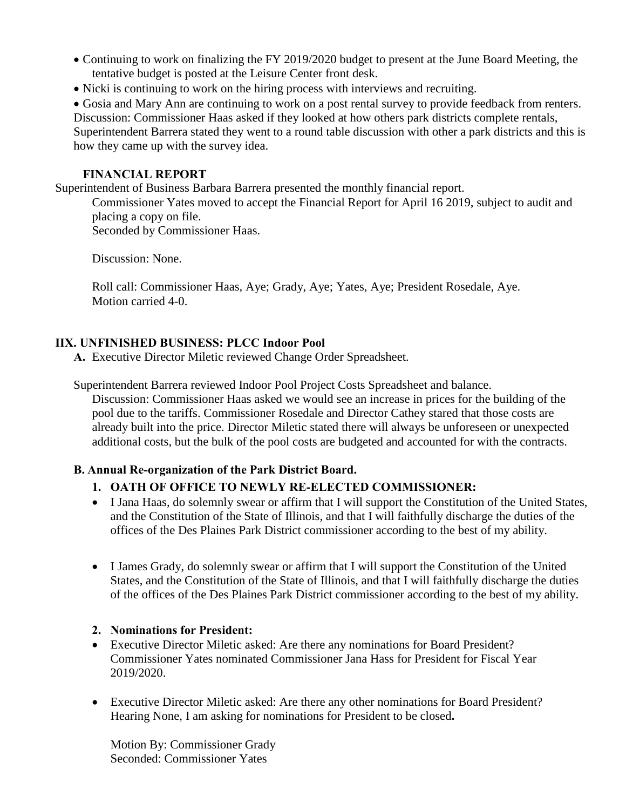- Continuing to work on finalizing the FY 2019/2020 budget to present at the June Board Meeting, the tentative budget is posted at the Leisure Center front desk.
- Nicki is continuing to work on the hiring process with interviews and recruiting.

 Gosia and Mary Ann are continuing to work on a post rental survey to provide feedback from renters. Discussion: Commissioner Haas asked if they looked at how others park districts complete rentals, Superintendent Barrera stated they went to a round table discussion with other a park districts and this is how they came up with the survey idea.

# **FINANCIAL REPORT**

Superintendent of Business Barbara Barrera presented the monthly financial report.

Commissioner Yates moved to accept the Financial Report for April 16 2019, subject to audit and placing a copy on file.

Seconded by Commissioner Haas.

Discussion: None.

 Roll call: Commissioner Haas, Aye; Grady, Aye; Yates, Aye; President Rosedale, Aye. Motion carried 4-0.

# **IIX. UNFINISHED BUSINESS: PLCC Indoor Pool**

**A.** Executive Director Miletic reviewed Change Order Spreadsheet.

Superintendent Barrera reviewed Indoor Pool Project Costs Spreadsheet and balance.

 Discussion: Commissioner Haas asked we would see an increase in prices for the building of the pool due to the tariffs. Commissioner Rosedale and Director Cathey stared that those costs are already built into the price. Director Miletic stated there will always be unforeseen or unexpected additional costs, but the bulk of the pool costs are budgeted and accounted for with the contracts.

# **B. Annual Re-organization of the Park District Board.**

# **1. OATH OF OFFICE TO NEWLY RE-ELECTED COMMISSIONER:**

- I Jana Haas, do solemnly swear or affirm that I will support the Constitution of the United States, and the Constitution of the State of Illinois, and that I will faithfully discharge the duties of the offices of the Des Plaines Park District commissioner according to the best of my ability.
- I James Grady, do solemnly swear or affirm that I will support the Constitution of the United States, and the Constitution of the State of Illinois, and that I will faithfully discharge the duties of the offices of the Des Plaines Park District commissioner according to the best of my ability.

# **2. Nominations for President:**

- Executive Director Miletic asked: Are there any nominations for Board President? Commissioner Yates nominated Commissioner Jana Hass for President for Fiscal Year 2019/2020.
- Executive Director Miletic asked: Are there any other nominations for Board President? Hearing None, I am asking for nominations for President to be closed**.**

Motion By: Commissioner Grady Seconded: Commissioner Yates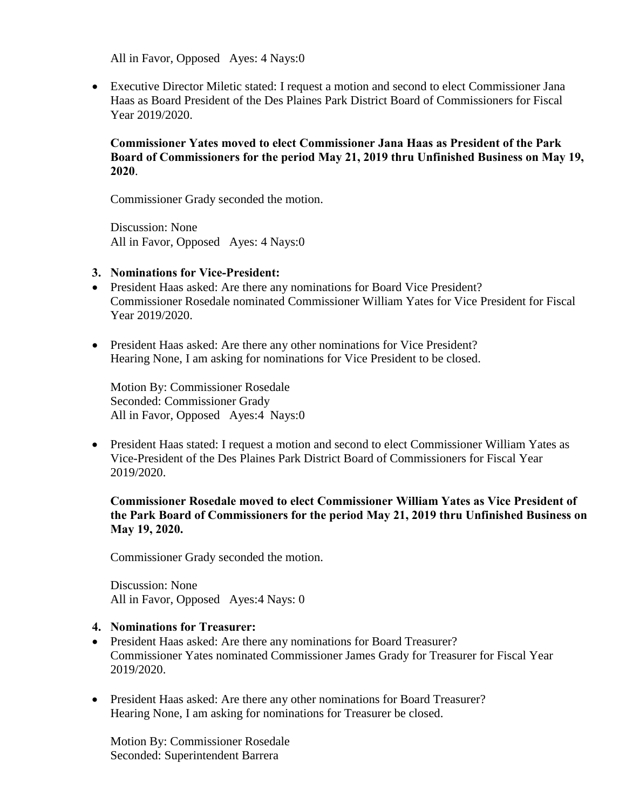All in Favor, Opposed Ayes: 4 Nays:0

 Executive Director Miletic stated: I request a motion and second to elect Commissioner Jana Haas as Board President of the Des Plaines Park District Board of Commissioners for Fiscal Year 2019/2020.

### **Commissioner Yates moved to elect Commissioner Jana Haas as President of the Park Board of Commissioners for the period May 21, 2019 thru Unfinished Business on May 19, 2020**.

Commissioner Grady seconded the motion.

Discussion: None All in Favor, Opposed Ayes: 4 Nays:0

#### **3. Nominations for Vice-President:**

- President Haas asked: Are there any nominations for Board Vice President? Commissioner Rosedale nominated Commissioner William Yates for Vice President for Fiscal Year 2019/2020.
- President Haas asked: Are there any other nominations for Vice President? Hearing None, I am asking for nominations for Vice President to be closed.

Motion By: Commissioner Rosedale Seconded: Commissioner Grady All in Favor, Opposed Ayes:4 Nays:0

 President Haas stated: I request a motion and second to elect Commissioner William Yates as Vice-President of the Des Plaines Park District Board of Commissioners for Fiscal Year 2019/2020.

### **Commissioner Rosedale moved to elect Commissioner William Yates as Vice President of the Park Board of Commissioners for the period May 21, 2019 thru Unfinished Business on May 19, 2020.**

Commissioner Grady seconded the motion.

Discussion: None All in Favor, Opposed Ayes:4 Nays: 0

#### **4. Nominations for Treasurer:**

- President Haas asked: Are there any nominations for Board Treasurer? Commissioner Yates nominated Commissioner James Grady for Treasurer for Fiscal Year 2019/2020.
- President Haas asked: Are there any other nominations for Board Treasurer? Hearing None, I am asking for nominations for Treasurer be closed.

Motion By: Commissioner Rosedale Seconded: Superintendent Barrera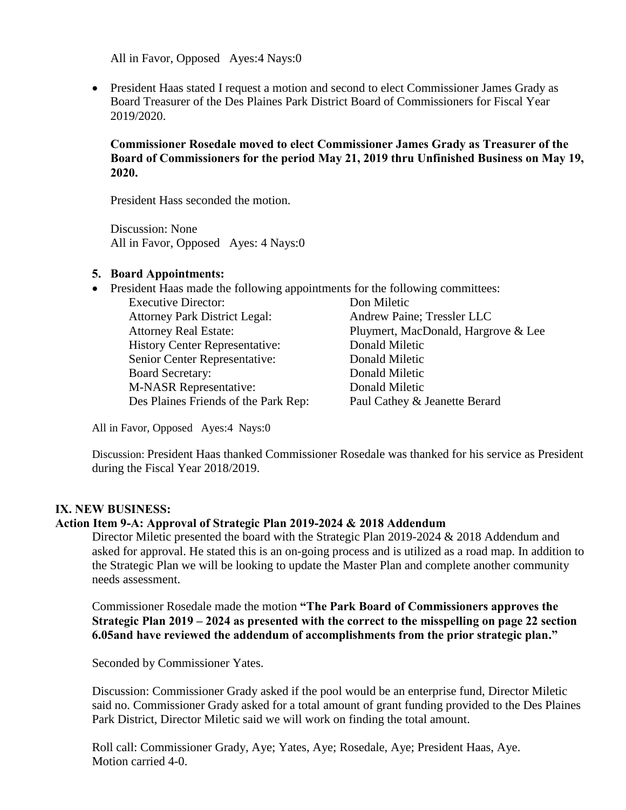All in Favor, Opposed Ayes:4 Nays:0

• President Haas stated I request a motion and second to elect Commissioner James Grady as Board Treasurer of the Des Plaines Park District Board of Commissioners for Fiscal Year 2019/2020.

### **Commissioner Rosedale moved to elect Commissioner James Grady as Treasurer of the Board of Commissioners for the period May 21, 2019 thru Unfinished Business on May 19, 2020.**

President Hass seconded the motion.

Discussion: None All in Favor, Opposed Ayes: 4 Nays:0

#### **5. Board Appointments:**

| • President Haas made the following appointments for the following committees: |                                     |  |
|--------------------------------------------------------------------------------|-------------------------------------|--|
| <b>Executive Director:</b>                                                     | Don Miletic                         |  |
| <b>Attorney Park District Legal:</b>                                           | Andrew Paine; Tressler LLC          |  |
| <b>Attorney Real Estate:</b>                                                   | Pluymert, MacDonald, Hargrove & Lee |  |
| <b>History Center Representative:</b>                                          | Donald Miletic                      |  |
| Senior Center Representative:                                                  | Donald Miletic                      |  |
| <b>Board Secretary:</b>                                                        | Donald Miletic                      |  |
| <b>M-NASR Representative:</b>                                                  | Donald Miletic                      |  |
| Des Plaines Friends of the Park Rep:                                           | Paul Cathey & Jeanette Berard       |  |
|                                                                                |                                     |  |

All in Favor, Opposed Ayes:4 Nays:0

Discussion: President Haas thanked Commissioner Rosedale was thanked for his service as President during the Fiscal Year 2018/2019.

#### **IX. NEW BUSINESS:**

### **Action Item 9-A: Approval of Strategic Plan 2019-2024 & 2018 Addendum**

Director Miletic presented the board with the Strategic Plan 2019-2024 & 2018 Addendum and asked for approval. He stated this is an on-going process and is utilized as a road map. In addition to the Strategic Plan we will be looking to update the Master Plan and complete another community needs assessment.

Commissioner Rosedale made the motion **"The Park Board of Commissioners approves the Strategic Plan 2019 – 2024 as presented with the correct to the misspelling on page 22 section 6.05and have reviewed the addendum of accomplishments from the prior strategic plan."**

Seconded by Commissioner Yates.

Discussion: Commissioner Grady asked if the pool would be an enterprise fund, Director Miletic said no. Commissioner Grady asked for a total amount of grant funding provided to the Des Plaines Park District, Director Miletic said we will work on finding the total amount.

 Roll call: Commissioner Grady, Aye; Yates, Aye; Rosedale, Aye; President Haas, Aye. Motion carried 4-0.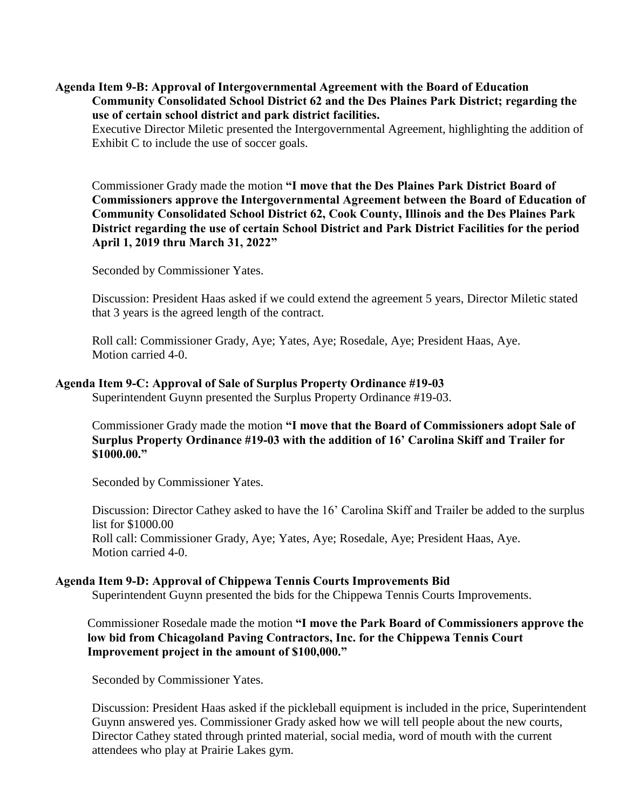### **Agenda Item 9-B: Approval of Intergovernmental Agreement with the Board of Education Community Consolidated School District 62 and the Des Plaines Park District; regarding the use of certain school district and park district facilities.**

 Executive Director Miletic presented the Intergovernmental Agreement, highlighting the addition of Exhibit C to include the use of soccer goals.

Commissioner Grady made the motion **"I move that the Des Plaines Park District Board of Commissioners approve the Intergovernmental Agreement between the Board of Education of Community Consolidated School District 62, Cook County, Illinois and the Des Plaines Park District regarding the use of certain School District and Park District Facilities for the period April 1, 2019 thru March 31, 2022"** 

Seconded by Commissioner Yates.

 Discussion: President Haas asked if we could extend the agreement 5 years, Director Miletic stated that 3 years is the agreed length of the contract.

 Roll call: Commissioner Grady, Aye; Yates, Aye; Rosedale, Aye; President Haas, Aye. Motion carried 4-0.

### **Agenda Item 9-C: Approval of Sale of Surplus Property Ordinance #19-03**

Superintendent Guynn presented the Surplus Property Ordinance #19-03.

 Commissioner Grady made the motion **"I move that the Board of Commissioners adopt Sale of Surplus Property Ordinance #19-03 with the addition of 16' Carolina Skiff and Trailer for \$1000.00."**

Seconded by Commissioner Yates.

 Discussion: Director Cathey asked to have the 16' Carolina Skiff and Trailer be added to the surplus list for \$1000.00 Roll call: Commissioner Grady, Aye; Yates, Aye; Rosedale, Aye; President Haas, Aye. Motion carried 4-0.

#### **Agenda Item 9-D: Approval of Chippewa Tennis Courts Improvements Bid**

Superintendent Guynn presented the bids for the Chippewa Tennis Courts Improvements.

 Commissioner Rosedale made the motion **"I move the Park Board of Commissioners approve the low bid from Chicagoland Paving Contractors, Inc. for the Chippewa Tennis Court Improvement project in the amount of \$100,000."**

Seconded by Commissioner Yates.

 Discussion: President Haas asked if the pickleball equipment is included in the price, Superintendent Guynn answered yes. Commissioner Grady asked how we will tell people about the new courts, Director Cathey stated through printed material, social media, word of mouth with the current attendees who play at Prairie Lakes gym.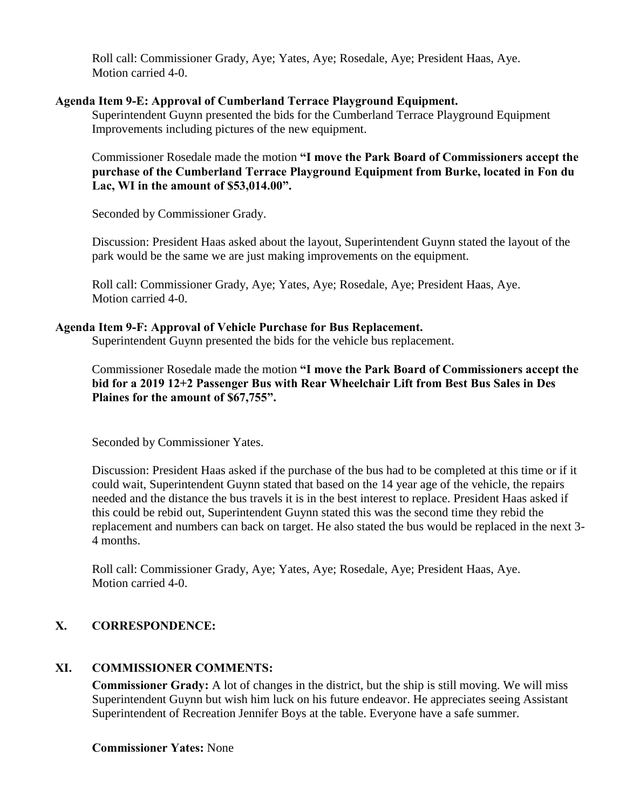Roll call: Commissioner Grady, Aye; Yates, Aye; Rosedale, Aye; President Haas, Aye. Motion carried 4-0.

### **Agenda Item 9-E: Approval of Cumberland Terrace Playground Equipment.**

 Superintendent Guynn presented the bids for the Cumberland Terrace Playground Equipment Improvements including pictures of the new equipment.

 Commissioner Rosedale made the motion **"I move the Park Board of Commissioners accept the purchase of the Cumberland Terrace Playground Equipment from Burke, located in Fon du Lac, WI in the amount of \$53,014.00".**

Seconded by Commissioner Grady.

 Discussion: President Haas asked about the layout, Superintendent Guynn stated the layout of the park would be the same we are just making improvements on the equipment.

 Roll call: Commissioner Grady, Aye; Yates, Aye; Rosedale, Aye; President Haas, Aye. Motion carried 4-0.

### **Agenda Item 9-F: Approval of Vehicle Purchase for Bus Replacement.**

Superintendent Guynn presented the bids for the vehicle bus replacement.

Commissioner Rosedale made the motion **"I move the Park Board of Commissioners accept the bid for a 2019 12+2 Passenger Bus with Rear Wheelchair Lift from Best Bus Sales in Des Plaines for the amount of \$67,755".** 

Seconded by Commissioner Yates.

Discussion: President Haas asked if the purchase of the bus had to be completed at this time or if it could wait, Superintendent Guynn stated that based on the 14 year age of the vehicle, the repairs needed and the distance the bus travels it is in the best interest to replace. President Haas asked if this could be rebid out, Superintendent Guynn stated this was the second time they rebid the replacement and numbers can back on target. He also stated the bus would be replaced in the next 3- 4 months.

 Roll call: Commissioner Grady, Aye; Yates, Aye; Rosedale, Aye; President Haas, Aye. Motion carried 4-0.

# **X. CORRESPONDENCE:**

# **XI. COMMISSIONER COMMENTS:**

**Commissioner Grady:** A lot of changes in the district, but the ship is still moving. We will miss Superintendent Guynn but wish him luck on his future endeavor. He appreciates seeing Assistant Superintendent of Recreation Jennifer Boys at the table. Everyone have a safe summer.

### **Commissioner Yates:** None